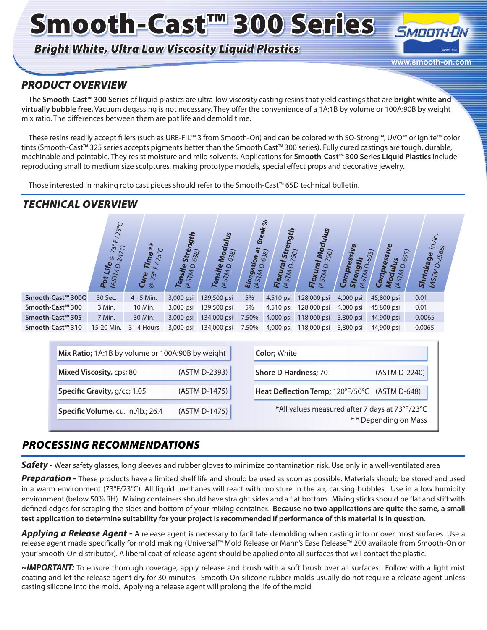# Smooth-Cast™ 300 Series

## *Bright White, Ultra Low Viscosity Liquid Plastics*



## *PRODUCT OVERVIEW*

The **Smooth-Cast™ 300 Series** of liquid plastics are ultra-low viscosity casting resins that yield castings that are **bright white and virtually bubble free.** Vacuum degassing is not necessary. They offer the convenience of a 1A:1B by volume or 100A:90B by weight mix ratio. The differences between them are pot life and demold time.

These resins readily accept fillers (such as URE-FIL™ 3 from Smooth-On) and can be colored with SO-Strong™, UVO™ or Ignite™ color tints (Smooth-Cast™ 325 series accepts pigments better than the Smooth Cast™ 300 series). Fully cured castings are tough, durable, machinable and paintable. They resist moisture and mild solvents. Applications for **Smooth-Cast™ 300 Series Liquid Plastics** include reproducing small to medium size sculptures, making prototype models, special effect props and decorative jewelry.

Those interested in making roto cast pieces should refer to the Smooth-Cast™ 65D technical bulletin.

### *TECHNICAL OVERVIEW*

|                               | $23^{\circ}C$<br>$\overline{z}$<br>$\tilde{\mathcal{S}}$<br>$\overline{z}$<br>$^\copyright$<br>Life<br>$\Delta$<br><b>MSTM</b><br>Pot | $**$<br>$23^{\circ}C$<br>Time<br>$\overline{u}$<br>$\tilde{z}$<br>Cure<br>$^{\circ}$ | ith<br>ၛႄ<br>Stre<br>638)<br><b>ASTMD</b><br>Tensile | Modul<br>38)<br>ত<br>Tensile<br>(ASTM D. | <b>Break</b><br>ASTMD-638)<br>Elongation | $\%$<br>haan<br><b>Stre</b><br>790)<br>Flexural<br>۵<br><b>ULSTV</b> | Modulus<br>(062)<br>Flexural<br>(ASTMD. | <b>pressive</b><br>(●)<br>$\mathsf{Co}_n$<br>ຮັ<br>≂ | $\frac{y_{\rm d}}{D_{695}}$<br>5<br>ressi<br>$\circ$<br>Ñ,<br>Co <sub>m</sub><br>AS<br>Mo | i'n.<br>ίŻ.<br>2566)<br>Shrinkage<br><b>ASTMD.</b> |
|-------------------------------|---------------------------------------------------------------------------------------------------------------------------------------|--------------------------------------------------------------------------------------|------------------------------------------------------|------------------------------------------|------------------------------------------|----------------------------------------------------------------------|-----------------------------------------|------------------------------------------------------|-------------------------------------------------------------------------------------------|----------------------------------------------------|
| Smooth-Cast <sup>™</sup> 300Q | 30 Sec.                                                                                                                               | $4 - 5$ Min.                                                                         | 3,000 psi                                            | 139,500 psi                              | 5%                                       | 4,510 psi                                                            | 128,000 psi                             | 4,000 psi                                            | 45,800 psi                                                                                | 0.01                                               |
| Smooth-Cast™ 300              | 3 Min.                                                                                                                                | 10 Min.                                                                              | 3,000 psi                                            | 139,500 psi                              | 5%                                       | 4,510 psi                                                            | 128,000 psi                             | 4,000 psi                                            | 45,800 psi                                                                                | 0.01                                               |
| Smooth-Cast <sup>™</sup> 305  | 7 Min.                                                                                                                                | 30 Min.                                                                              | 3,000 psi                                            | 134,000 psi                              | 7.50%                                    | 4,000 psi                                                            | 118,000 psi                             | 3,800 psi                                            | 44,900 psi                                                                                | 0.0065                                             |
| Smooth-Cast <sup>™</sup> 310  | 15-20 Min.                                                                                                                            | $3 - 4$ Hours                                                                        | 3,000 psi                                            | 134,000 psi                              | 7.50%                                    | 4,000 psi                                                            | 118,000 psi                             | 3,800 psi                                            | 44,900 psi                                                                                | 0.0065                                             |

| Mix Ratio; 1A:1B by volume or 100A:90B by weight |               | <b>Color: White</b>                                                    |
|--------------------------------------------------|---------------|------------------------------------------------------------------------|
| Mixed Viscosity, cps; 80                         | (ASTM D-2393) | (ASTM D-2240)<br><b>Shore D Hardness; 70</b>                           |
| Specific Gravity, g/cc; 1.05                     | (ASTM D-1475) | Heat Deflection Temp; 120°F/50°C (ASTM D-648)                          |
| Specific Volume, cu. in./lb.; 26.4               | (ASTM D-1475) | *All values measured after 7 days at 73°F/23°C<br>** Depending on Mass |

## *PROCESSING RECOMMENDATIONS*

**Safety -** Wear safety glasses, long sleeves and rubber gloves to minimize contamination risk. Use only in a well-ventilated area

*Preparation -* These products have a limited shelf life and should be used as soon as possible. Materials should be stored and used in a warm environment (73°F/23°C). All liquid urethanes will react with moisture in the air, causing bubbles. Use in a low humidity environment (below 50% RH). Mixing containers should have straight sides and a flat bottom. Mixing sticks should be flat and stiff with defined edges for scraping the sides and bottom of your mixing container. **Because no two applications are quite the same, a small test application to determine suitability for your project is recommended if performance of this material is in question**.

Applying a Release Agent - A release agent is necessary to facilitate demolding when casting into or over most surfaces. Use a release agent made specifically for mold making (Universal™ Mold Release or Mann's Ease Release™ 200 available from Smooth-On or your Smooth-On distributor). A liberal coat of release agent should be applied onto all surfaces that will contact the plastic.

*~IMPORTANT:* To ensure thorough coverage, apply release and brush with a soft brush over all surfaces. Follow with a light mist coating and let the release agent dry for 30 minutes. Smooth-On silicone rubber molds usually do not require a release agent unless casting silicone into the mold. Applying a release agent will prolong the life of the mold.